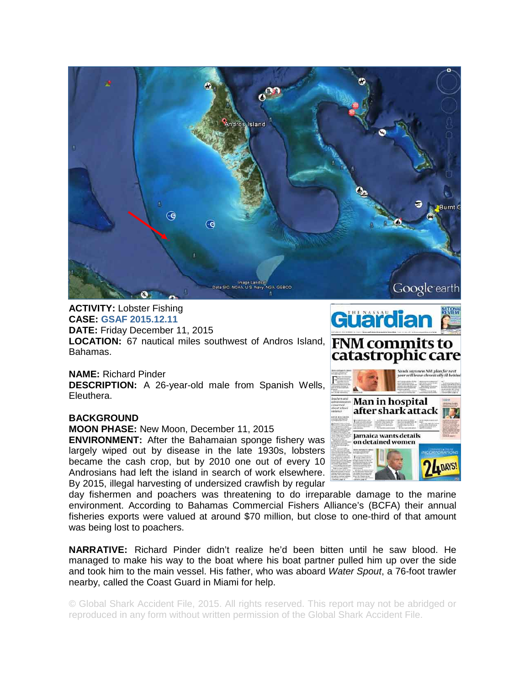

## **ACTIVITY:** Lobster Fishing **CASE: GSAF 2015.12.11**

**DATE:** Friday December 11, 2015 LOCATION: 67 nautical miles southwest of Andros Island, **FNM commits to** Bahamas.

**NAME:** Richard Pinder **DESCRIPTION:** A 26-year-old male from Spanish Wells, Eleuthera.

## **BACKGROUND**

**MOON PHASE:** New Moon, December 11, 2015 **ENVIRONMENT:** After the Bahamaian sponge fishery was

largely wiped out by disease in the late 1930s, lobsters became the cash crop, but by 2010 one out of every 10 Androsians had left the island in search of work elsewhere. By 2015, illegal harvesting of undersized crawfish by regular

day fishermen and poachers was threatening to do irreparable damage to the marine environment. According to Bahamas Commercial Fishers Alliance's (BCFA) their annual fisheries exports were valued at around \$70 million, but close to one-third of that amount was being lost to poachers.

**NARRATIVE:** Richard Pinder didn't realize he'd been bitten until he saw blood. He managed to make his way to the boat where his boat partner pulled him up over the side and took him to the main vessel. His father, who was aboard *Water Spout*, a 76-foot trawler nearby, called the Coast Guard in Miami for help.

© Global Shark Accident File, 2015. All rights reserved. This report may not be abridged or reproduced in any form without written permission of the Global Shark Accident File.

## Güärdian catastrophic care



Google earth